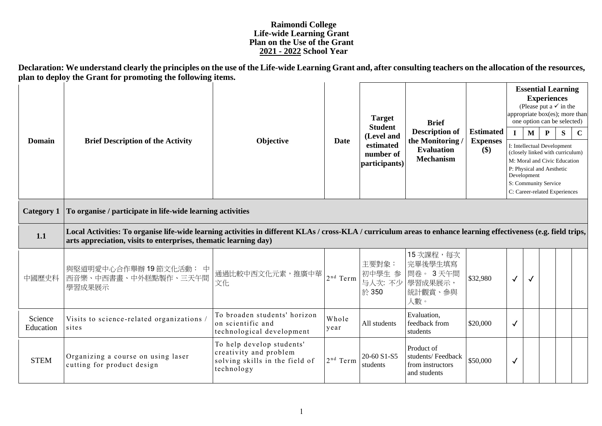## **Raimondi College Life-wide Learning Grant Plan on the Use of the Grant 2021 - 2022 School Year**

**Declaration: We understand clearly the principles on the use of the Life-wide Learning Grant and, after consulting teachers on the allocation of the resources, plan to deploy the Grant for promoting the following items.**

| Domain               | <b>Brief Description of the Activity</b><br>Objective                                                                                                                                                                                 |                                                                                                     | <b>Target</b>     | <b>Brief</b>                                                            |                                                                                  | <b>Essential Learning</b><br><b>Experiences</b><br>(Please put a $\checkmark$ in the<br>appropriate box(es); more than<br>one option can be selected) |              |              |                                                                                  |                                                                                                   |             |  |  |
|----------------------|---------------------------------------------------------------------------------------------------------------------------------------------------------------------------------------------------------------------------------------|-----------------------------------------------------------------------------------------------------|-------------------|-------------------------------------------------------------------------|----------------------------------------------------------------------------------|-------------------------------------------------------------------------------------------------------------------------------------------------------|--------------|--------------|----------------------------------------------------------------------------------|---------------------------------------------------------------------------------------------------|-------------|--|--|
|                      |                                                                                                                                                                                                                                       |                                                                                                     | <b>Date</b>       | <b>Student</b><br>(Level and<br>estimated<br>number of<br>participants) | <b>Description of</b><br>the Monitoring<br><b>Evaluation</b><br><b>Mechanism</b> | <b>Estimated</b><br><b>Expenses</b>                                                                                                                   | $\mathbf{I}$ | $\mathbf{M}$ | P                                                                                | S                                                                                                 | $\mathbf C$ |  |  |
|                      |                                                                                                                                                                                                                                       |                                                                                                     |                   |                                                                         |                                                                                  | \$)                                                                                                                                                   |              | Development  | I: Intellectual Development<br>P: Physical and Aesthetic<br>S: Community Service | (closely linked with curriculum)<br>M: Moral and Civic Education<br>C: Career-related Experiences |             |  |  |
| <b>Category 1</b>    | To organise / participate in life-wide learning activities                                                                                                                                                                            |                                                                                                     |                   |                                                                         |                                                                                  |                                                                                                                                                       |              |              |                                                                                  |                                                                                                   |             |  |  |
| 1.1                  | Local Activities: To organise life-wide learning activities in different KLAs / cross-KLA / curriculum areas to enhance learning effectiveness (e.g. field trips,<br>arts appreciation, visits to enterprises, thematic learning day) |                                                                                                     |                   |                                                                         |                                                                                  |                                                                                                                                                       |              |              |                                                                                  |                                                                                                   |             |  |  |
| 中國歷史科                | 與堅道明愛中心合作舉辦19節文化活動: 中<br>西音樂、中西書畫、中外糕點製作、三天午間<br>學習成果展示                                                                                                                                                                               | 通過比較中西文化元素,推廣中華<br>文化                                                                               | $2^{\rm nd}$ Term | 主要對象:<br>初中學生 参<br>与人次: 不少<br>於 350                                     | 15次課程,每次<br>完畢後學生填寫<br>問卷。3天午間<br>學習成果展示,<br>統計觀賞、參與<br>人數。                      | \$32,980                                                                                                                                              | ✓            | $\checkmark$ |                                                                                  |                                                                                                   |             |  |  |
| Science<br>Education | Visits to science-related organizations /<br>sites                                                                                                                                                                                    | To broaden students' horizon<br>on scientific and<br>technological development                      | Whole<br>year     | All students                                                            | Evaluation,<br>feedback from<br>students                                         | \$20,000                                                                                                                                              | $\checkmark$ |              |                                                                                  |                                                                                                   |             |  |  |
| <b>STEM</b>          | Organizing a course on using laser<br>cutting for product design                                                                                                                                                                      | To help develop students'<br>creativity and problem<br>solving skills in the field of<br>technology | $2nd$ Term        | 20-60 S1-S5<br>students                                                 | Product of<br>students/Feedback<br>from instructors<br>and students              | \$50,000                                                                                                                                              | $\sqrt{ }$   |              |                                                                                  |                                                                                                   |             |  |  |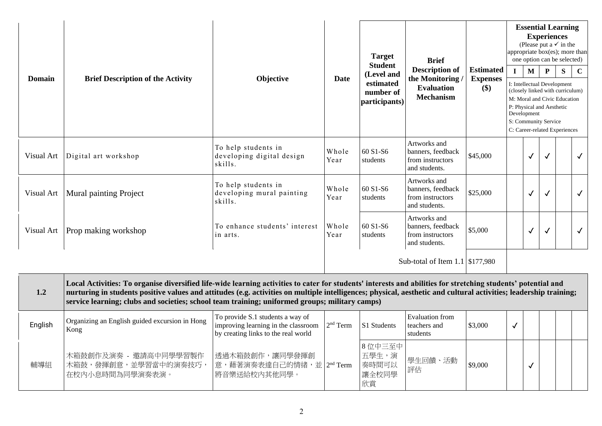| <b>Domain</b> | Objective<br><b>Brief Description of the Activity</b>                                                                                                                                                                                                                                                                                                                                                                                |                                                                                                                | <b>Target</b><br><b>Student</b> | <b>Brief</b><br><b>Description of</b>                 | <b>Estimated</b>                                                       | <b>Essential Learning</b><br><b>Experiences</b><br>(Please put a $\checkmark$ in the<br>appropriate box(es); more than<br>one option can be selected)<br>P<br>S<br>$\mathbf{I}$<br>M<br>$\mathbf C$ |                      |              |                           |                                                                                                                                  |              |  |  |
|---------------|--------------------------------------------------------------------------------------------------------------------------------------------------------------------------------------------------------------------------------------------------------------------------------------------------------------------------------------------------------------------------------------------------------------------------------------|----------------------------------------------------------------------------------------------------------------|---------------------------------|-------------------------------------------------------|------------------------------------------------------------------------|-----------------------------------------------------------------------------------------------------------------------------------------------------------------------------------------------------|----------------------|--------------|---------------------------|----------------------------------------------------------------------------------------------------------------------------------|--------------|--|--|
|               |                                                                                                                                                                                                                                                                                                                                                                                                                                      |                                                                                                                | Date                            | (Level and<br>estimated<br>number of<br>participants) | the Monitoring<br><b>Evaluation</b><br><b>Mechanism</b>                | <b>Expenses</b><br>\$)                                                                                                                                                                              | S: Community Service | Development  | P: Physical and Aesthetic | I: Intellectual Development<br>(closely linked with curriculum)<br>M: Moral and Civic Education<br>C: Career-related Experiences |              |  |  |
| Visual Art    | Digital art workshop                                                                                                                                                                                                                                                                                                                                                                                                                 | To help students in<br>developing digital design<br>skills.                                                    | Whole<br>Year                   | 60 S1-S6<br>students                                  | Artworks and<br>banners, feedback<br>from instructors<br>and students. | \$45,000                                                                                                                                                                                            |                      | $\checkmark$ | $\checkmark$              |                                                                                                                                  | $\checkmark$ |  |  |
| Visual Art    | <b>Mural painting Project</b>                                                                                                                                                                                                                                                                                                                                                                                                        | To help students in<br>developing mural painting<br>skills.                                                    | Whole<br>Year                   | 60 S1-S6<br>students                                  | Artworks and<br>banners, feedback<br>from instructors<br>and students. | \$25,000                                                                                                                                                                                            |                      | $\checkmark$ | $\checkmark$              |                                                                                                                                  | $\checkmark$ |  |  |
| Visual Art    | Prop making workshop                                                                                                                                                                                                                                                                                                                                                                                                                 | To enhance students' interest<br>in arts.                                                                      | Whole<br>Year                   | 60 S1-S6<br>students                                  | Artworks and<br>banners, feedback<br>from instructors<br>and students. | \$5,000                                                                                                                                                                                             |                      | $\checkmark$ | $\checkmark$              |                                                                                                                                  | $\checkmark$ |  |  |
|               |                                                                                                                                                                                                                                                                                                                                                                                                                                      |                                                                                                                |                                 |                                                       | Sub-total of Item 1.1 \\$177,980                                       |                                                                                                                                                                                                     |                      |              |                           |                                                                                                                                  |              |  |  |
| 1.2           | Local Activities: To organise diversified life-wide learning activities to cater for students' interests and abilities for stretching students' potential and<br>nurturing in students positive values and attitudes (e.g. activities on multiple intelligences; physical, aesthetic and cultural activities; leadership training;<br>service learning; clubs and societies; school team training; uniformed groups; military camps) |                                                                                                                |                                 |                                                       |                                                                        |                                                                                                                                                                                                     |                      |              |                           |                                                                                                                                  |              |  |  |
| English       | Organizing an English guided excursion in Hong<br>Kong                                                                                                                                                                                                                                                                                                                                                                               | To provide S.1 students a way of<br>improving learning in the classroom<br>by creating links to the real world | 2 <sup>nd</sup> Term            | S1 Students                                           | <b>Evaluation</b> from<br>teachers and<br>students                     | \$3,000                                                                                                                                                                                             | $\checkmark$         |              |                           |                                                                                                                                  |              |  |  |
| 輔導組           | 木箱鼓創作及演奏 - 邀請高中同學學習製作<br>木箱鼓,發揮創意,並學習當中的演奏技巧,<br>在校内小息時間為同學演奏表演。                                                                                                                                                                                                                                                                                                                                                                     | 透過木箱鼓創作,讓同學發揮創<br>意,藉著演奏表達自己的情緒,並 2 <sup>nd</sup> Term<br>將音樂送給校內其他同學。                                         |                                 | 8 位中三至中<br>五學生,演<br>奏時間可以<br>讓全校同學<br>欣賞              | 學生回饋、活動<br>評估                                                          | \$9,000                                                                                                                                                                                             |                      | $\checkmark$ |                           |                                                                                                                                  |              |  |  |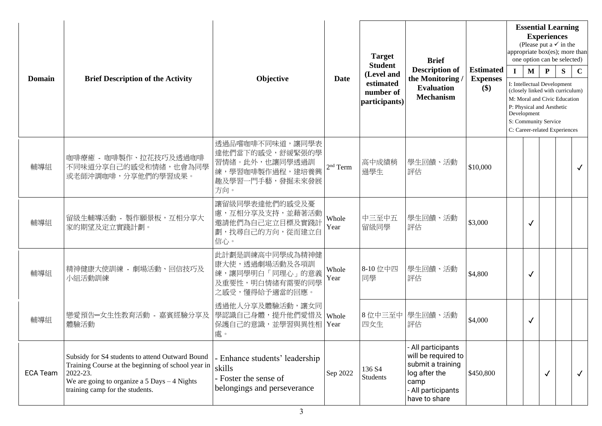| <b>Domain</b>   | <b>Brief Description of the Activity</b>                                                                                                                                                                | Objective                                                                                         | <b>Date</b>   | <b>Target</b><br><b>Student</b><br>(Level and<br>estimated<br>number of<br>participants) | <b>Brief</b><br><b>Description of</b><br>the Monitoring<br><b>Evaluation</b><br><b>Mechanism</b>                               | <b>Estimated</b><br><b>Expenses</b><br>\$) | $\mathbf{I}$ | $\mathbf{M}$<br>Development | <b>Experiences</b><br>$\mathbf{P}$<br>P: Physical and Aesthetic<br>S: Community Service | <b>Essential Learning</b><br>(Please put a $\checkmark$ in the<br>appropriate box(es); more than<br>one option can be selected)<br>${\bf S}$<br>I: Intellectual Development<br>(closely linked with curriculum)<br>M: Moral and Civic Education<br>C: Career-related Experiences | $\mathbf C$  |
|-----------------|---------------------------------------------------------------------------------------------------------------------------------------------------------------------------------------------------------|---------------------------------------------------------------------------------------------------|---------------|------------------------------------------------------------------------------------------|--------------------------------------------------------------------------------------------------------------------------------|--------------------------------------------|--------------|-----------------------------|-----------------------------------------------------------------------------------------|----------------------------------------------------------------------------------------------------------------------------------------------------------------------------------------------------------------------------------------------------------------------------------|--------------|
| 輔導組             | 咖啡療癒 - 咖啡製作、拉花技巧及透過咖啡<br>不同味道分享自己的感受和情緒,也會為同學<br>或老師沖調咖啡,分享他們的學習成果。                                                                                                                                     | 透過品嚐咖啡不同味道,讓同學表<br>達他們當下的感受,舒緩緊張的學<br>習情緒。此外,也讓同學透過訓<br>練,學習咖啡製作過程,建培養興<br>趣及學習一門手藝,發掘未來發展<br>方向。 | $2nd$ Term    | 高中成績稍<br>遜學生                                                                             | 學生回饋、活動<br>評估                                                                                                                  | \$10,000                                   |              |                             |                                                                                         |                                                                                                                                                                                                                                                                                  |              |
| 輔導組             | 留級生輔導活動 - 製作願景板,互相分享大<br>家的期望及定立實踐計劃。                                                                                                                                                                   | 讓留級同學表達他們的感受及憂<br>慮,互相分享及支持,並藉著活動<br>邀請他們為自己定立目標及實踐計<br>劃,找尋自己的方向,從而建立自<br>信心。                    | Whole<br>Year | 中三至中五<br>留級同學                                                                            | 學生回饋、活動<br>評估                                                                                                                  | \$3,000                                    |              | $\checkmark$                |                                                                                         |                                                                                                                                                                                                                                                                                  |              |
| 輔導組             | 精神健康大使訓練 - 劇場活動、回信技巧及<br>小組活動訓練                                                                                                                                                                         | 此計劃是訓練高中同學成為精神健<br>康大使,透過劇場活動及各項訓<br>練,讓同學明白「同理心」的意義<br>及重要性,明白情緒有需要的同學<br>之感受,懂得給予適當的回應。         | Whole<br>Year | 8-10 位中四<br>同學                                                                           | 學生回饋、活動<br>評估                                                                                                                  | \$4,800                                    |              | $\checkmark$                |                                                                                         |                                                                                                                                                                                                                                                                                  |              |
| 輔導組             | 戀愛預告-女生性教育活動 - 嘉賓經驗分享及<br>體驗活動                                                                                                                                                                          | 透過他人分享及體驗活動,讓女同<br>學認識自己身體,提升他們愛惜及<br>保護自己的意識,並學習與異性相<br>處。                                       | Whole<br>Year | 四女生                                                                                      | 8位中三至中 學生回饋、活動<br>評估                                                                                                           | \$4,000                                    |              | $\checkmark$                |                                                                                         |                                                                                                                                                                                                                                                                                  |              |
| <b>ECA Team</b> | Subsidy for S4 students to attend Outward Bound<br>Training Course at the beginning of school year in<br>2022-23.<br>We are going to organize a $5$ Days $-4$ Nights<br>training camp for the students. | - Enhance students' leadership<br>skills<br>- Foster the sense of<br>belongings and perseverance  | Sep 2022      | 136 S4<br>Students                                                                       | - All participants<br>will be required to<br>submit a training<br>log after the<br>camp<br>- All participants<br>have to share | \$450,800                                  |              |                             | $\checkmark$                                                                            |                                                                                                                                                                                                                                                                                  | $\checkmark$ |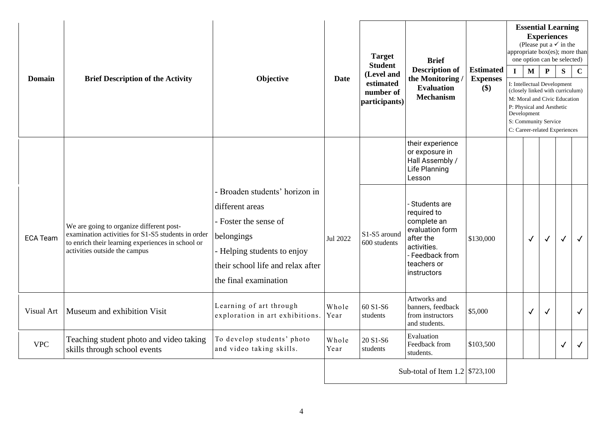| Domain          | <b>Brief Description of the Activity</b>                                                                                                                                             | Objective                                                                                                                                                                             | Date          | <b>Target</b><br><b>Student</b><br>(Level and<br>estimated<br>number of<br>participants) | <b>Brief</b><br><b>Description of</b><br>the Monitoring<br><b>Evaluation</b><br><b>Mechanism</b>                                             | <b>Estimated</b><br><b>Expenses</b><br>\$) | <b>Essential Learning</b><br><b>Experiences</b><br>(Please put a $\checkmark$ in the<br>appropriate box(es); more than<br>one option can be selected)<br>$\mathbf P$<br>$\mathbf{I}$<br>$\mathbf{M}$<br>S<br>I: Intellectual Development<br>(closely linked with curriculum)<br>M: Moral and Civic Education<br>P: Physical and Aesthetic<br>Development<br>S: Community Service<br>C: Career-related Experiences |              |              |              | $\mathbf C$  |
|-----------------|--------------------------------------------------------------------------------------------------------------------------------------------------------------------------------------|---------------------------------------------------------------------------------------------------------------------------------------------------------------------------------------|---------------|------------------------------------------------------------------------------------------|----------------------------------------------------------------------------------------------------------------------------------------------|--------------------------------------------|-------------------------------------------------------------------------------------------------------------------------------------------------------------------------------------------------------------------------------------------------------------------------------------------------------------------------------------------------------------------------------------------------------------------|--------------|--------------|--------------|--------------|
|                 |                                                                                                                                                                                      |                                                                                                                                                                                       |               |                                                                                          | their experience<br>or exposure in<br>Hall Assembly /<br>Life Planning<br>Lesson                                                             |                                            |                                                                                                                                                                                                                                                                                                                                                                                                                   |              |              |              |              |
| <b>ECA Team</b> | We are going to organize different post-<br>examination activities for S1-S5 students in order<br>to enrich their learning experiences in school or<br>activities outside the campus | - Broaden students' horizon in<br>different areas<br>- Foster the sense of<br>belongings<br>- Helping students to enjoy<br>their school life and relax after<br>the final examination | Jul 2022      | S1-S5 around<br>600 students                                                             | - Students are<br>required to<br>complete an<br>evaluation form<br>after the<br>activities.<br>- Feedback from<br>teachers or<br>instructors | \$130,000                                  |                                                                                                                                                                                                                                                                                                                                                                                                                   | $\checkmark$ | $\checkmark$ | $\checkmark$ | $\checkmark$ |
| Visual Art      | Museum and exhibition Visit                                                                                                                                                          | Learning of art through<br>exploration in art exhibitions.                                                                                                                            | Whole<br>Year | 60 S1-S6<br>students                                                                     | Artworks and<br>banners, feedback<br>from instructors<br>and students.                                                                       | \$5,000                                    |                                                                                                                                                                                                                                                                                                                                                                                                                   | $\checkmark$ | $\checkmark$ |              | $\checkmark$ |
| <b>VPC</b>      | Teaching student photo and video taking<br>skills through school events                                                                                                              | To develop students' photo<br>and video taking skills.                                                                                                                                | Whole<br>Year | 20 S1-S6<br>students                                                                     | Evaluation<br>Feedback from<br>students.                                                                                                     | \$103,500                                  |                                                                                                                                                                                                                                                                                                                                                                                                                   |              |              | ✓            |              |
|                 |                                                                                                                                                                                      |                                                                                                                                                                                       |               |                                                                                          | Sub-total of Item $1.2$ \$723,100                                                                                                            |                                            |                                                                                                                                                                                                                                                                                                                                                                                                                   |              |              |              |              |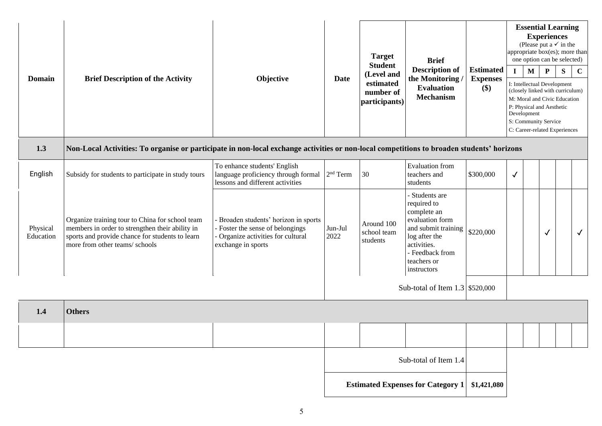| <b>Domain</b>         | <b>Brief Description of the Activity</b>                                                                                                                                                | Objective                                                                                                                         | Date                                     | <b>Target</b><br><b>Student</b><br>(Level and<br>estimated<br>number of<br>participants) | <b>Brief</b><br><b>Description of</b><br>the Monitoring<br><b>Evaluation</b><br><b>Mechanism</b>                                                                        | <b>Estimated</b><br><b>Expenses</b><br>\$) | appropriate box(es); more than<br>$\mathbf{I}$<br>Development | $\mathbf{M}$ | <b>Essential Learning</b><br><b>Experiences</b><br>(Please put a $\checkmark$ in the<br>one option can be selected)<br>${\bf P}$<br>I: Intellectual Development<br>(closely linked with curriculum)<br>M: Moral and Civic Education<br>P: Physical and Aesthetic<br>S: Community Service<br>C: Career-related Experiences | S | $\mathbf C$  |
|-----------------------|-----------------------------------------------------------------------------------------------------------------------------------------------------------------------------------------|-----------------------------------------------------------------------------------------------------------------------------------|------------------------------------------|------------------------------------------------------------------------------------------|-------------------------------------------------------------------------------------------------------------------------------------------------------------------------|--------------------------------------------|---------------------------------------------------------------|--------------|---------------------------------------------------------------------------------------------------------------------------------------------------------------------------------------------------------------------------------------------------------------------------------------------------------------------------|---|--------------|
| 1.3                   | Non-Local Activities: To organise or participate in non-local exchange activities or non-local competitions to broaden students' horizons                                               |                                                                                                                                   |                                          |                                                                                          |                                                                                                                                                                         |                                            |                                                               |              |                                                                                                                                                                                                                                                                                                                           |   |              |
| English               | Subsidy for students to participate in study tours                                                                                                                                      | To enhance students' English<br>language proficiency through formal<br>lessons and different activities                           | 2 <sup>nd</sup> Term                     | 30                                                                                       | <b>Evaluation</b> from<br>teachers and<br>students                                                                                                                      | \$300,000                                  | $\checkmark$                                                  |              |                                                                                                                                                                                                                                                                                                                           |   |              |
| Physical<br>Education | Organize training tour to China for school team<br>members in order to strengthen their ability in<br>sports and provide chance for students to learn<br>more from other teams/ schools | Broaden students' horizon in sports<br>- Foster the sense of belongings<br>Organize activities for cultural<br>exchange in sports | Jun-Jul<br>2022                          | Around 100<br>school team<br>students                                                    | - Students are<br>required to<br>complete an<br>evaluation form<br>and submit training<br>log after the<br>activities.<br>- Feedback from<br>teachers or<br>instructors | \$220,000                                  |                                                               |              | $\checkmark$                                                                                                                                                                                                                                                                                                              |   | $\checkmark$ |
|                       |                                                                                                                                                                                         |                                                                                                                                   |                                          |                                                                                          | Sub-total of Item 1.3 \$520,000                                                                                                                                         |                                            |                                                               |              |                                                                                                                                                                                                                                                                                                                           |   |              |
| 1.4                   | <b>Others</b>                                                                                                                                                                           |                                                                                                                                   |                                          |                                                                                          |                                                                                                                                                                         |                                            |                                                               |              |                                                                                                                                                                                                                                                                                                                           |   |              |
|                       |                                                                                                                                                                                         |                                                                                                                                   |                                          |                                                                                          |                                                                                                                                                                         |                                            |                                                               |              |                                                                                                                                                                                                                                                                                                                           |   |              |
|                       |                                                                                                                                                                                         |                                                                                                                                   | Sub-total of Item 1.4                    |                                                                                          |                                                                                                                                                                         |                                            |                                                               |              |                                                                                                                                                                                                                                                                                                                           |   |              |
|                       |                                                                                                                                                                                         |                                                                                                                                   | <b>Estimated Expenses for Category 1</b> |                                                                                          |                                                                                                                                                                         | \$1,421,080                                |                                                               |              |                                                                                                                                                                                                                                                                                                                           |   |              |